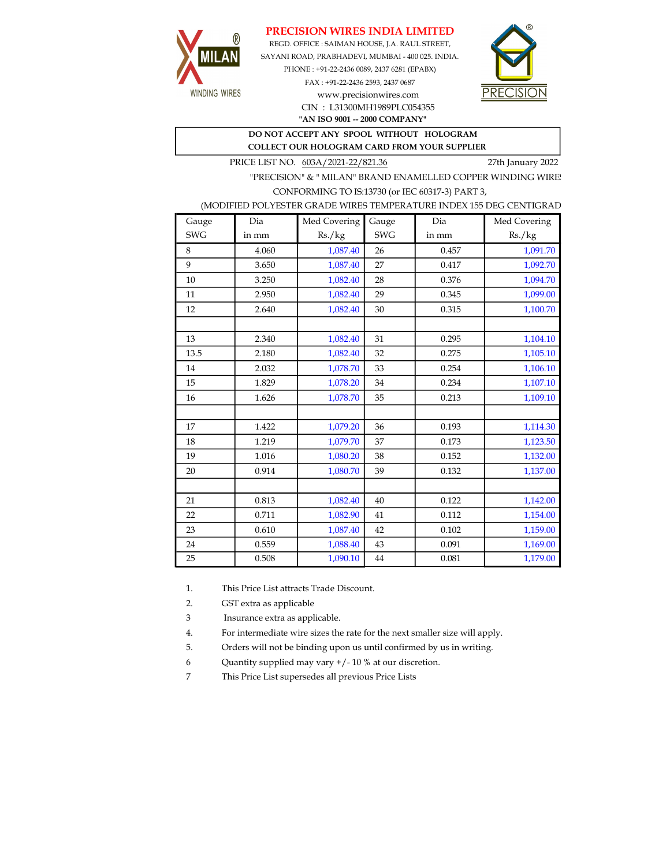## PRECISION WIRES INDIA LIMITED



REGD. OFFICE : SAIMAN HOUSE, J.A. RAUL STREET, SAYANI ROAD, PRABHADEVI, MUMBAI - 400 025. INDIA. PHONE : +91-22-2436 0089, 2437 6281 (EPABX)

> FAX : +91-22-2436 2593, 2437 0687 www.precisionwires.com CIN : L31300MH1989PLC054355



"AN ISO 9001 -- 2000 COMPANY"

## DO NOT ACCEPT ANY SPOOL WITHOUT HOLOGRAM COLLECT OUR HOLOGRAM CARD FROM YOUR SUPPLIER

PRICE LIST NO. 603A/2021-22/821.36 27th January 2022

"PRECISION" & " MILAN" BRAND ENAMELLED COPPER WINDING WIRE CONFORMING TO IS:13730 (or IEC 60317-3) PART 3,

|  |  | (MODIFIED POLYESTER GRADE WIRES TEMPERATURE INDEX 155 DEG CENTIGRAD |  |
|--|--|---------------------------------------------------------------------|--|
|  |  |                                                                     |  |

| Gauge      | Dia   | Med Covering | Gauge      | Dia   | Med Covering |
|------------|-------|--------------|------------|-------|--------------|
| <b>SWG</b> | in mm | Rs./kg       | <b>SWG</b> | in mm | Rs./kg       |
| 8          | 4.060 | 1,087.40     | 26         | 0.457 | 1,091.70     |
| 9          | 3.650 | 1,087.40     | 27         | 0.417 | 1,092.70     |
| 10         | 3.250 | 1,082.40     | 28         | 0.376 | 1,094.70     |
| 11         | 2.950 | 1,082.40     | 29         | 0.345 | 1,099.00     |
| 12         | 2.640 | 1,082.40     | 30         | 0.315 | 1,100.70     |
|            |       |              |            |       |              |
| 13         | 2.340 | 1,082.40     | 31         | 0.295 | 1,104.10     |
| 13.5       | 2.180 | 1,082.40     | 32         | 0.275 | 1,105.10     |
| 14         | 2.032 | 1,078.70     | 33         | 0.254 | 1,106.10     |
| 15         | 1.829 | 1,078.20     | 34         | 0.234 | 1,107.10     |
| 16         | 1.626 | 1,078.70     | 35         | 0.213 | 1,109.10     |
|            |       |              |            |       |              |
| 17         | 1.422 | 1,079.20     | 36         | 0.193 | 1,114.30     |
| 18         | 1.219 | 1,079.70     | 37         | 0.173 | 1,123.50     |
| 19         | 1.016 | 1,080.20     | 38         | 0.152 | 1,132.00     |
| 20         | 0.914 | 1,080.70     | 39         | 0.132 | 1,137.00     |
|            |       |              |            |       |              |
| 21         | 0.813 | 1,082.40     | 40         | 0.122 | 1,142.00     |
| 22         | 0.711 | 1,082.90     | 41         | 0.112 | 1,154.00     |
| 23         | 0.610 | 1,087.40     | 42         | 0.102 | 1,159.00     |
| 24         | 0.559 | 1,088.40     | 43         | 0.091 | 1,169.00     |
| 25         | 0.508 | 1,090.10     | 44         | 0.081 | 1,179.00     |

1. This Price List attracts Trade Discount.

2. GST extra as applicable

3 Insurance extra as applicable.

4. For intermediate wire sizes the rate for the next smaller size will apply.

5. Orders will not be binding upon us until confirmed by us in writing.

6 Quantity supplied may vary +/- 10 % at our discretion.

7 This Price List supersedes all previous Price Lists